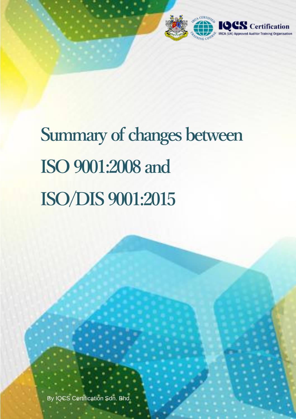

# **Summary of changes between ISO 9001:2008 and ISO/DIS 9001:2015**

ISO/DIS 9001:2015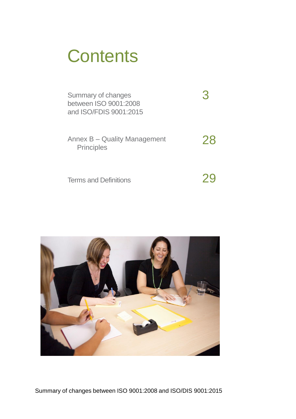# **Contents**

| Summary of changes<br>between ISO 9001:2008<br>and ISO/FDIS 9001:2015 |    |
|-----------------------------------------------------------------------|----|
| Annex B – Quality Management<br><b>Principles</b>                     | 28 |
| <b>Terms and Definitions</b>                                          |    |

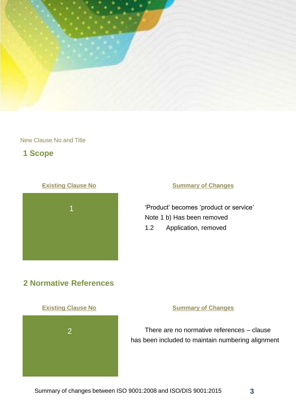

# **1 Scope**



### **Existing Clause No. 6 August 2018 Manual Summary of Changes**

'Product' becomes 'product or service' Note 1 b) Has been removed 1.2 Application, removed

# **2 Normative References**



There are no normative references – clause has been included to maintain numbering alignment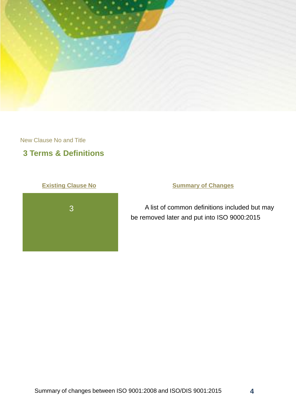

# **3 Terms & Definitions**



# **Existing Clause No. 6 August 2018 Manual Summary of Changes**

A list of common definitions included but may be removed later and put into ISO 9000:2015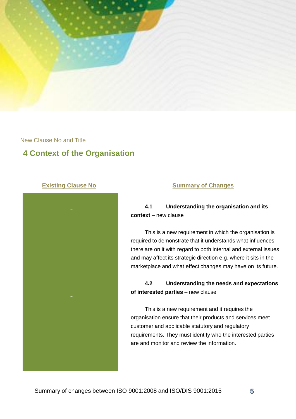

# **4 Context of the Organisation**



#### **Existing Clause No. 2018 19 Summary of Changes**

**4.1 Understanding the organisation and its context** – new clause

This is a new requirement in which the organisation is required to demonstrate that it understands what influences there are on it with regard to both internal and external issues and may affect its strategic direction e.g. where it sits in the marketplace and what effect changes may have on its future.

### **4.2 Understanding the needs and expectations of interested parties** – new clause

This is a new requirement and it requires the organisation ensure that their products and services meet customer and applicable statutory and regulatory requirements. They must identify who the interested parties are and monitor and review the information.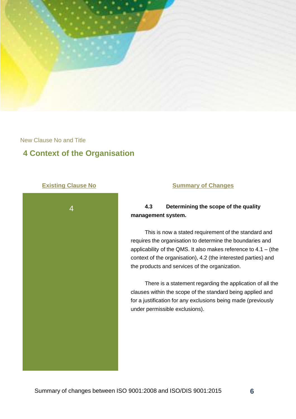

# **4 Context of the Organisation**



### **Existing Clause No. 6 August 2018 Manual Summary of Changes**

### **4.3 Determining the scope of the quality management system.**

This is now a stated requirement of the standard and requires the organisation to determine the boundaries and applicability of the QMS. It also makes reference to 4.1 – (the context of the organisation), 4.2 (the interested parties) and the products and services of the organization.

There is a statement regarding the application of all the clauses within the scope of the standard being applied and for a justification for any exclusions being made (previously under permissible exclusions).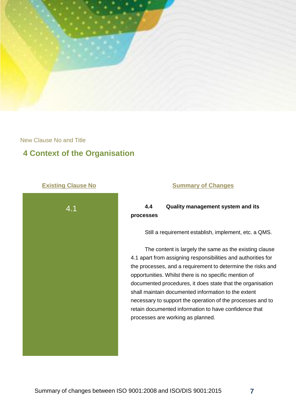

# **4 Context of the Organisation**



#### **Existing Clause No. 6 August 2018 Manual Summary of Changes**

**4.4 Quality management system and its processes** 

Still a requirement establish, implement, etc. a QMS.

The content is largely the same as the existing clause 4.1 apart from assigning responsibilities and authorities for the processes, and a requirement to determine the risks and opportunities. Whilst there is no specific mention of documented procedures, it does state that the organisation shall maintain documented information to the extent necessary to support the operation of the processes and to retain documented information to have confidence that processes are working as planned.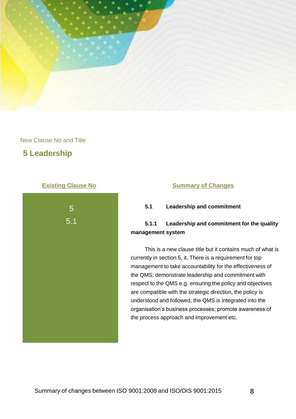

# **5 Leadership**



#### **Existing Clause No. 2018 19 Summary of Changes**

**5.1 Leadership and commitment**

### **5.1.1 Leadership and commitment for the quality management system**

This is a new clause title but it contains much of what is currently in section 5, it. There is a requirement for top management to take accountability for the effectiveness of the QMS; demonstrate leadership and commitment with respect to the QMS e.g. ensuring the policy and objectives are compatible with the strategic direction, the policy is understood and followed, the QMS is integrated into the organisation's business processes; promote awareness of the process approach and improvement etc.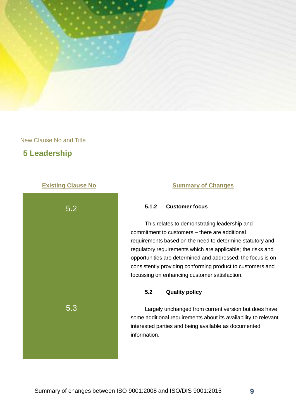

# **5 Leadership**



#### **Existing Clause No. 6 August 2018 Manual Summary of Changes**

#### **5.1.2 Customer focus**

This relates to demonstrating leadership and commitment to customers – there are additional requirements based on the need to determine statutory and regulatory requirements which are applicable; the risks and opportunities are determined and addressed; the focus is on consistently providing conforming product to customers and focussing on enhancing customer satisfaction.

#### **5.2 Quality policy**

Largely unchanged from current version but does have some additional requirements about its availability to relevant interested parties and being available as documented information.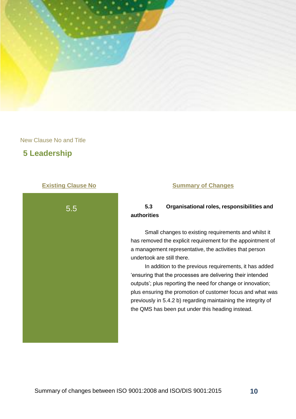

# **5 Leadership**



### **Existing Clause No. 6 August 2018 Manual Summary of Changes**

### **5.3 Organisational roles, responsibilities and authorities**

Small changes to existing requirements and whilst it has removed the explicit requirement for the appointment of a management representative, the activities that person undertook are still there.

In addition to the previous requirements, it has added 'ensuring that the processes are delivering their intended outputs'; plus reporting the need for change or innovation; plus ensuring the promotion of customer focus and what was previously in 5.4.2 b) regarding maintaining the integrity of the QMS has been put under this heading instead.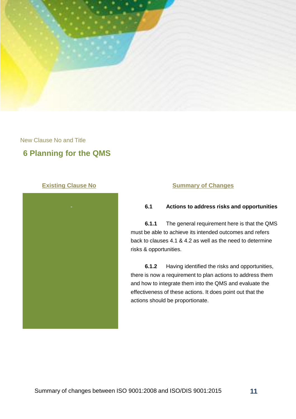

# **6 Planning for the QMS**



#### **Existing Clause No. 6 August 2018 Manual Summary of Changes**

### **6.1 Actions to address risks and opportunities**

**6.1.1** The general requirement here is that the QMS must be able to achieve its intended outcomes and refers back to clauses 4.1 & 4.2 as well as the need to determine risks & opportunities.

**6.1.2** Having identified the risks and opportunities, there is now a requirement to plan actions to address them and how to integrate them into the QMS and evaluate the effectiveness of these actions. It does point out that the actions should be proportionate.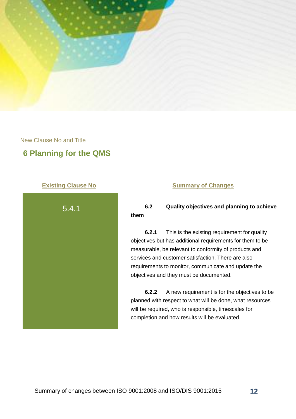

# **6 Planning for the QMS**



#### **Existing Clause No. 6 August 2018 Manual Summary of Changes**

### **6.2 Quality objectives and planning to achieve them**

**6.2.1** This is the existing requirement for quality objectives but has additional requirements for them to be measurable, be relevant to conformity of products and services and customer satisfaction. There are also requirements to monitor, communicate and update the objectives and they must be documented.

**6.2.2** A new requirement is for the objectives to be planned with respect to what will be done, what resources will be required, who is responsible, timescales for completion and how results will be evaluated.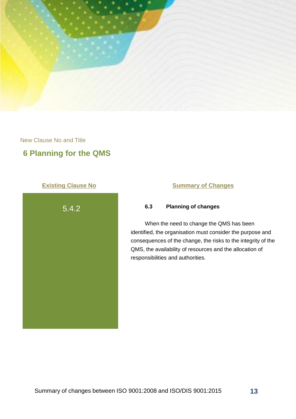

# **6 Planning for the QMS**



### **Existing Clause No. 6 August 2018 Manual Summary of Changes**

### **6.3 Planning of changes**

When the need to change the QMS has been identified, the organisation must consider the purpose and consequences of the change, the risks to the integrity of the QMS, the availability of resources and the allocation of responsibilities and authorities.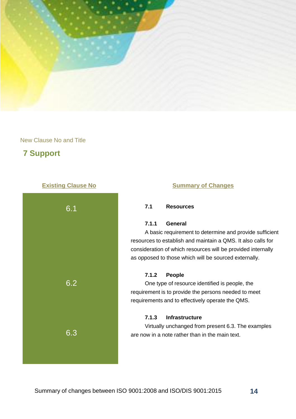

# **7 Support**



#### **Existing Clause No. 6 August 2018 Manual Summary of Changes**

### **7.1 Resources**

#### **7.1.1 General**

A basic requirement to determine and provide sufficient resources to establish and maintain a QMS. It also calls for consideration of which resources will be provided internally as opposed to those which will be sourced externally.

#### **7.1.2 People**

One type of resource identified is people, the requirement is to provide the persons needed to meet requirements and to effectively operate the QMS.

#### **7.1.3 Infrastructure**

Virtually unchanged from present 6.3. The examples are now in a note rather than in the main text.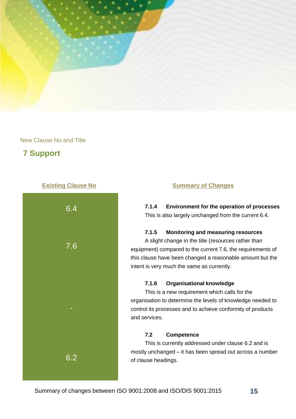

# **7 Support**



#### **Existing Clause No. 2018 19 Summary of Changes**

**7.1.4 Environment for the operation of processes** This is also largely unchanged from the current 6.4.

#### **7.1.5 Monitoring and measuring resources**

A slight change in the title (resources rather than equipment) compared to the current 7.6, the requirements of this clause have been changed a reasonable amount but the intent is very much the same as currently.

#### **7.1.6 Organisational knowledge**

This is a new requirement which calls for the organisation to determine the levels of knowledge needed to control its processes and to achieve conformity of products and services.

### **7.2 Competence**

This is currently addressed under clause 6.2 and is mostly unchanged – it has been spread out across a number of clause headings.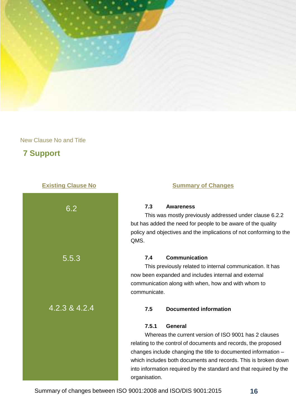

# **7 Support**



#### **Existing Clause No. 2018 19 Summary of Changes**

### **7.3 Awareness**

This was mostly previously addressed under clause 6.2.2 but has added the need for people to be aware of the quality policy and objectives and the implications of not conforming to the QMS.

#### **7.4 Communication**

This previously related to internal communication. It has now been expanded and includes internal and external communication along with when, how and with whom to communicate.

#### **7.5 Documented information**

#### **7.5.1 General**

Whereas the current version of ISO 9001 has 2 clauses relating to the control of documents and records, the proposed changes include changing the title to documented information – which includes both documents and records. This is broken down into information required by the standard and that required by the organisation.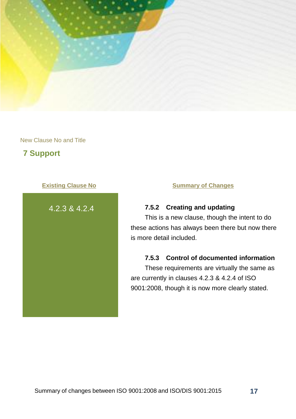

# **7 Support**



### **Existing Clause No. 6 No. 2 Summary of Changes**

### **7.5.2 Creating and updating**

This is a new clause, though the intent to do these actions has always been there but now there is more detail included.

#### **7.5.3 Control of documented information**

These requirements are virtually the same as are currently in clauses 4.2.3 & 4.2.4 of ISO 9001:2008, though it is now more clearly stated.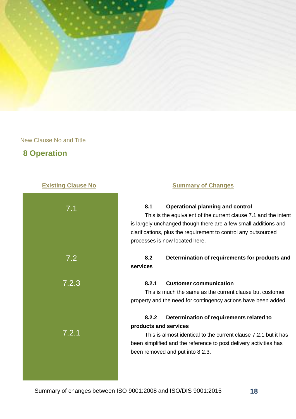

# **8 Operation**

| 7.1   |  |
|-------|--|
| 7.2   |  |
| 7.2.3 |  |
|       |  |
| 7.2.1 |  |
|       |  |

#### **Existing Clause No. 2018 19 Summary of Changes**

#### **8.1 Operational planning and control**

This is the equivalent of the current clause 7.1 and the intent is largely unchanged though there are a few small additions and clarifications, plus the requirement to control any outsourced processes is now located here.

### **8.2 Determination of requirements for products and services**

#### **8.2.1 Customer communication**

This is much the same as the current clause but customer property and the need for contingency actions have been added.

### **8.2.2 Determination of requirements related to products and services**

This is almost identical to the current clause 7.2.1 but it has been simplified and the reference to post delivery activities has been removed and put into 8.2.3.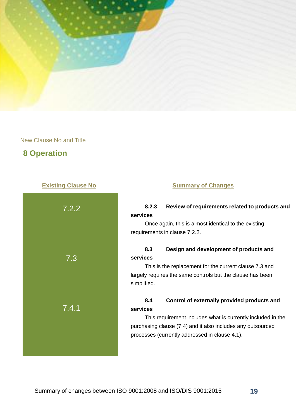

# **8 Operation**



#### **Existing Clause No. 2018 19 Summary of Changes**

### **8.2.3 Review of requirements related to products and services**

Once again, this is almost identical to the existing requirements in clause 7.2.2.

### **8.3 Design and development of products and services**

This is the replacement for the current clause 7.3 and largely requires the same controls but the clause has been simplified.

### **8.4 Control of externally provided products and services**

This requirement includes what is currently included in the purchasing clause (7.4) and it also includes any outsourced processes (currently addressed in clause 4.1).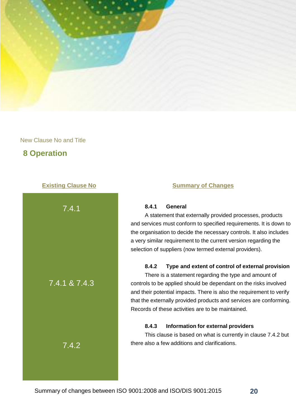

# **8 Operation**



#### **Existing Clause No. 2018 19 Summary of Changes**

#### **8.4.1 General**

A statement that externally provided processes, products and services must conform to specified requirements. It is down to the organisation to decide the necessary controls. It also includes a very similar requirement to the current version regarding the selection of suppliers (now termed external providers).

#### **8.4.2 Type and extent of control of external provision**

There is a statement regarding the type and amount of controls to be applied should be dependant on the risks involved and their potential impacts. There is also the requirement to verify that the externally provided products and services are conforming. Records of these activities are to be maintained.

#### **8.4.3 Information for external providers**

This clause is based on what is currently in clause 7.4.2 but there also a few additions and clarifications.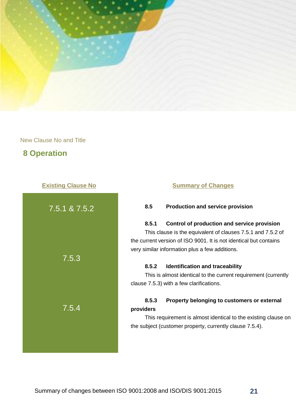

# **8 Operation**



#### **8.5 Production and service provision**

#### **8.5.1 Control of production and service provision**

This clause is the equivalent of clauses 7.5.1 and 7.5.2 of the current version of ISO 9001. It is not identical but contains very similar information plus a few additions.

#### **8.5.2 Identification and traceability**

This is almost identical to the current requirement (currently clause 7.5.3) with a few clarifications.

### **8.5.3 Property belonging to customers or external providers**

This requirement is almost identical to the existing clause on the subject (customer property, currently clause 7.5.4).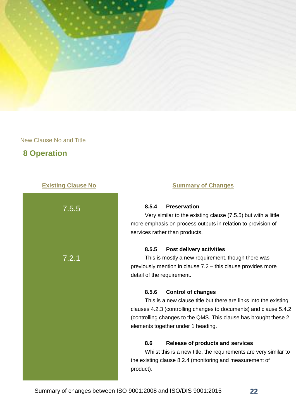

# **8 Operation**



#### **Existing Clause No. 2018 19 Summary of Changes**

#### **8.5.4 Preservation**

Very similar to the existing clause (7.5.5) but with a little more emphasis on process outputs in relation to provision of services rather than products.

#### **8.5.5 Post delivery activities**

This is mostly a new requirement, though there was previously mention in clause 7.2 – this clause provides more detail of the requirement.

#### **8.5.6 Control of changes**

This is a new clause title but there are links into the existing clauses 4.2.3 (controlling changes to documents) and clause 5.4.2 (controlling changes to the QMS. This clause has brought these 2 elements together under 1 heading.

#### **8.6 Release of products and services**

Whilst this is a new title, the requirements are very similar to the existing clause 8.2.4 (monitoring and measurement of product).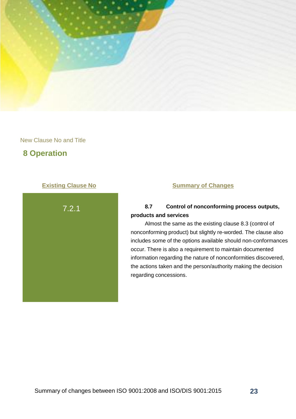

# **8 Operation**



### **Existing Clause No. 6 No. 2 Summary of Changes**

### **8.7 Control of nonconforming process outputs, products and services**

Almost the same as the existing clause 8.3 (control of nonconforming product) but slightly re-worded. The clause also includes some of the options available should non-conformances occur. There is also a requirement to maintain documented information regarding the nature of nonconformities discovered, the actions taken and the person/authority making the decision regarding concessions.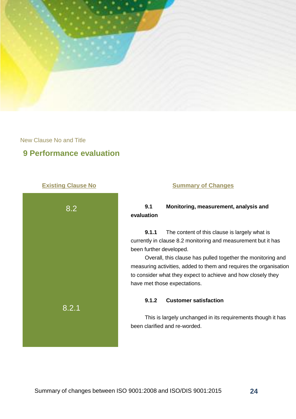

# **9 Performance evaluation**



### **Existing Clause No. 6 No. 2 Summary of Changes**

### **9.1 Monitoring, measurement, analysis and evaluation**

**9.1.1** The content of this clause is largely what is currently in clause 8.2 monitoring and measurement but it has been further developed.

Overall, this clause has pulled together the monitoring and measuring activities, added to them and requires the organisation to consider what they expect to achieve and how closely they have met those expectations.

#### **9.1.2 Customer satisfaction**

This is largely unchanged in its requirements though it has been clarified and re-worded.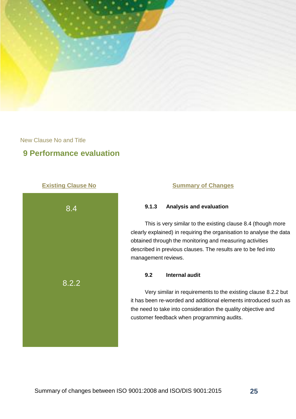

# **9 Performance evaluation**



#### **Existing Clause No. 6 August 2018 Manual Summary of Changes**

### **9.1.3 Analysis and evaluation**

This is very similar to the existing clause 8.4 (though more clearly explained) in requiring the organisation to analyse the data obtained through the monitoring and measuring activities described in previous clauses. The results are to be fed into management reviews.

#### **9.2 Internal audit**

Very similar in requirements to the existing clause 8.2.2 but it has been re-worded and additional elements introduced such as the need to take into consideration the quality objective and customer feedback when programming audits.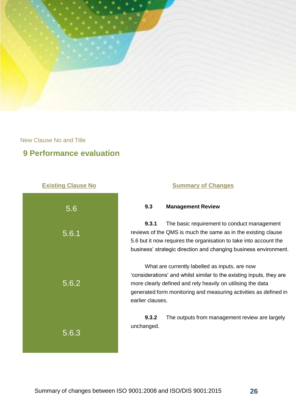

# **9 Performance evaluation**



### **Existing Clause No. 6 No. 2 Summary of Changes**

#### **9.3 Management Review**

**9.3.1** The basic requirement to conduct management reviews of the QMS is much the same as in the existing clause 5.6 but it now requires the organisation to take into account the business' strategic direction and changing business environment.

What are currently labelled as inputs, are now 'considerations' and whilst similar to the existing inputs, they are more clearly defined and rely heavily on utilising the data generated form monitoring and measuring activities as defined in earlier clauses.

**9.3.2** The outputs from management review are largely unchanged.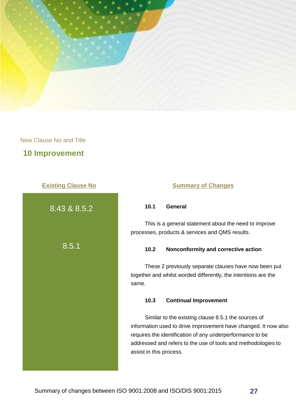

## **10 Improvement**



8.43 & 8.5.2 8.5.1

#### **Existing Clause No. 2018 19 Summary of Changes**

#### **10.1 General**

This is a general statement about the need to improve processes, products & services and QMS results.

#### **10.2 Nonconformity and corrective action**

These 2 previously separate clauses have now been put together and whilst worded differently, the intentions are the same.

#### **10.3 Continual Improvement**

Similar to the existing clause 8.5.1 the sources of information used to drive improvement have changed. It now also requires the identification of any underperformance to be addressed and refers to the use of tools and methodologies to assist in this process.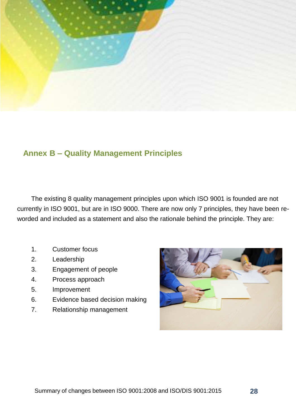

# **Annex B – Quality Management Principles**

The existing 8 quality management principles upon which ISO 9001 is founded are not currently in ISO 9001, but are in ISO 9000. There are now only 7 principles, they have been reworded and included as a statement and also the rationale behind the principle. They are:

- 1. Customer focus
- 2. Leadership
- 3. Engagement of people
- 4. Process approach
- 5. Improvement
- 6. Evidence based decision making
- 7. Relationship management

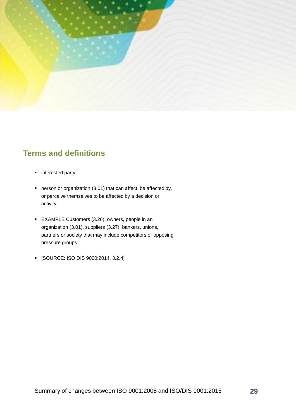

# **Terms and definitions**

- **n** interested party
- **Person or organization (3.01) that can affect, be affected by,** or perceive themselves to be affected by a decision or activity
- EXAMPLE Customers (3.26), owners, people in an organization (3.01), suppliers (3.27), bankers, unions, partners or society that may include competitors or opposing pressure groups.
- [SOURCE: ISO DIS 9000:2014, 3.2.4]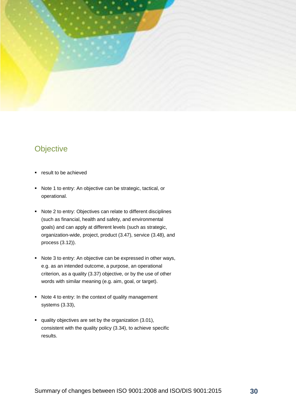

# **Objective**

- **•** result to be achieved
- Note 1 to entry: An objective can be strategic, tactical, or operational.
- Note 2 to entry: Objectives can relate to different disciplines (such as financial, health and safety, and environmental goals) and can apply at different levels (such as strategic, organization-wide, project, product (3.47), service (3.48), and process (3.12)).
- Note 3 to entry: An objective can be expressed in other ways, e.g. as an intended outcome, a purpose, an operational criterion, as a quality (3.37) objective, or by the use of other words with similar meaning (e.g. aim, goal, or target).
- Note 4 to entry: In the context of quality management systems (3.33),
- quality objectives are set by the organization (3.01), consistent with the quality policy (3.34), to achieve specific results.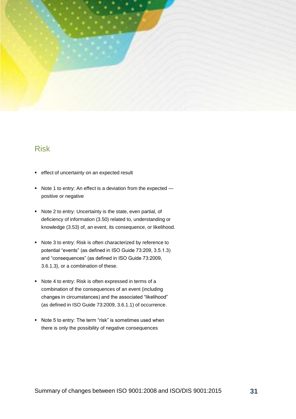

# Risk

- **effect of uncertainty on an expected result**
- Note 1 to entry: An effect is a deviation from the expected positive or negative
- Note 2 to entry: Uncertainty is the state, even partial, of deficiency of information (3.50) related to, understanding or knowledge (3.53) of, an event, its consequence, or likelihood.
- Note 3 to entry: Risk is often characterized by reference to potential "events" (as defined in ISO Guide 73:209, 3.5.1.3) and "consequences" (as defined in ISO Guide 73:2009, 3.6.1.3), or a combination of these.
- Note 4 to entry: Risk is often expressed in terms of a combination of the consequences of an event (including changes in circumstances) and the associated "likelihood" (as defined in ISO Guide 73:2009, 3.6.1.1) of occurrence.
- Note 5 to entry: The term "risk" is sometimes used when there is only the possibility of negative consequences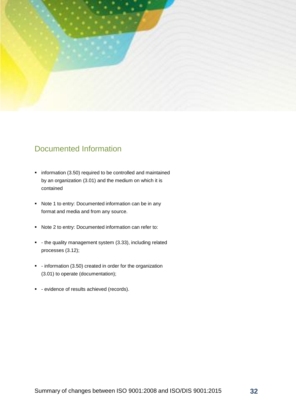

# Documented Information

- **•** information (3.50) required to be controlled and maintained by an organization (3.01) and the medium on which it is contained
- Note 1 to entry: Documented information can be in any format and media and from any source.
- Note 2 to entry: Documented information can refer to:
- the quality management system (3.33), including related processes (3.12);
- information (3.50) created in order for the organization (3.01) to operate (documentation);
- **-** evidence of results achieved (records).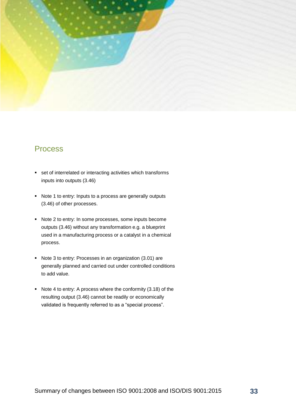

# Process

- **set of interrelated or interacting activities which transforms** inputs into outputs (3.46)
- Note 1 to entry: Inputs to a process are generally outputs (3.46) of other processes.
- Note 2 to entry: In some processes, some inputs become outputs (3.46) without any transformation e.g. a blueprint used in a manufacturing process or a catalyst in a chemical process.
- Note 3 to entry: Processes in an organization (3.01) are generally planned and carried out under controlled conditions to add value.
- Note 4 to entry: A process where the conformity (3.18) of the resulting output (3.46) cannot be readily or economically validated is frequently referred to as a "special process".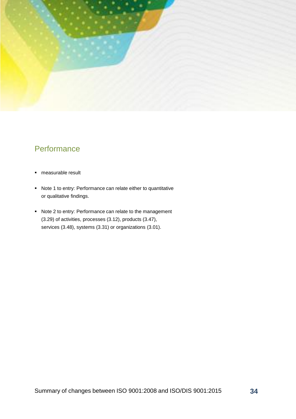

# **Performance**

- measurable result
- Note 1 to entry: Performance can relate either to quantitative or qualitative findings.
- Note 2 to entry: Performance can relate to the management (3.29) of activities, processes (3.12), products (3.47), services (3.48), systems (3.31) or organizations (3.01).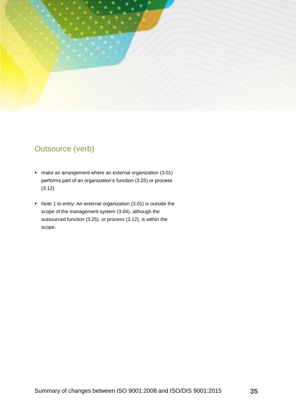

# Outsource (verb)

- make an arrangement where an external organization (3.01) performs part of an organization's function (3.25) or process (3.12)
- Note 1 to entry: An external organization (3.01) is outside the scope of the management system (3.04), although the outsourced function (3.25), or process (3.12), is within the scope.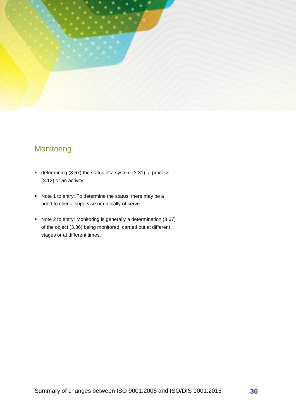

# **Monitoring**

- determining (3.67) the status of a system (3.31), a process (3.12) or an activity
- Note 1 to entry: To determine the status, there may be a need to check, supervise or critically observe.
- Note 2 to entry: Monitoring is generally a determination (3.67) of the object (3.36) being monitored, carried out at different stages or at different times.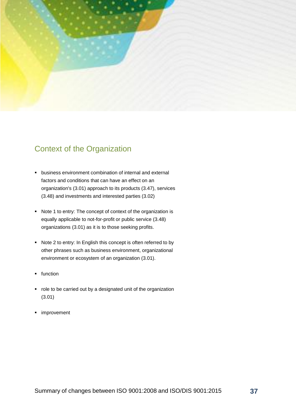

# Context of the Organization

- business environment combination of internal and external factors and conditions that can have an effect on an organization's (3.01) approach to its products (3.47), services (3.48) and investments and interested parties (3.02)
- Note 1 to entry: The concept of context of the organization is equally applicable to not-for-profit or public service (3.48) organizations (3.01) as it is to those seeking profits.
- Note 2 to entry: In English this concept is often referred to by other phrases such as business environment, organizational environment or ecosystem of an organization (3.01).
- **function**
- role to be carried out by a designated unit of the organization (3.01)
- **·** improvement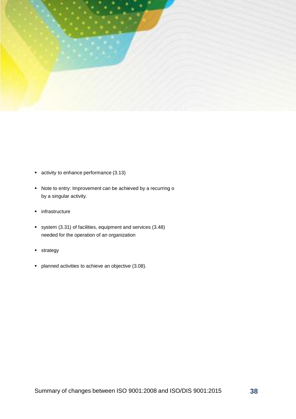

- **activity to enhance performance (3.13)**
- Note to entry: Improvement can be achieved by a recurring o by a singular activity.
- **·** infrastructure
- system (3.31) of facilities, equipment and services (3.48) needed for the operation of an organization
- **strategy**
- **•** planned activities to achieve an objective (3.08).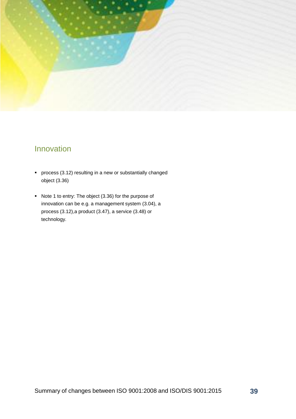

# Innovation

- process (3.12) resulting in a new or substantially changed object (3.36)
- Note 1 to entry: The object (3.36) for the purpose of innovation can be e.g. a management system (3.04), a process (3.12),a product (3.47), a service (3.48) or technology.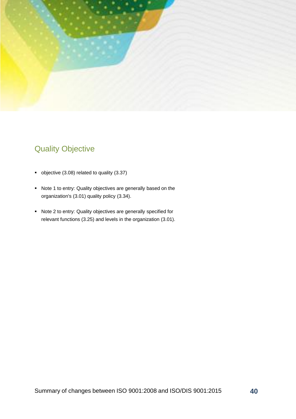

# Quality Objective

- objective (3.08) related to quality (3.37)
- Note 1 to entry: Quality objectives are generally based on the organization's (3.01) quality policy (3.34).
- Note 2 to entry: Quality objectives are generally specified for relevant functions (3.25) and levels in the organization (3.01).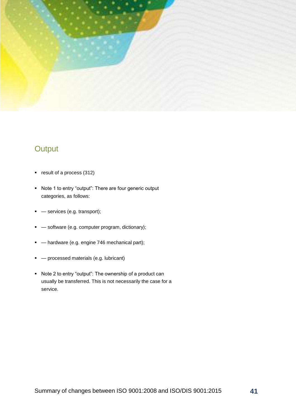

# **Output**

- **•** result of a process (312)
- Note 1 to entry "output": There are four generic output categories, as follows:
- **-** services (e.g. transport);
- **•**  $-$  software (e.g. computer program, dictionary);
- $-$  hardware (e.g. engine 746 mechanical part);
- **•** processed materials (e.g. lubricant)
- Note 2 to entry "output": The ownership of a product can usually be transferred. This is not necessarily the case for a service.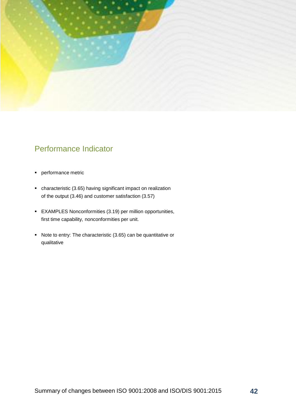

# Performance Indicator

- **performance metric**
- characteristic (3.65) having significant impact on realization of the output (3.46) and customer satisfaction (3.57)
- EXAMPLES Nonconformities (3.19) per million opportunities, first time capability, nonconformities per unit.
- Note to entry: The characteristic (3.65) can be quantitative or qualitative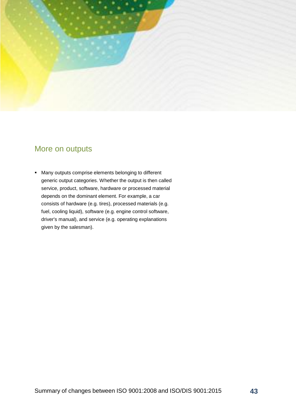

# More on outputs

 Many outputs comprise elements belonging to different generic output categories. Whether the output is then called service, product, software, hardware or processed material depends on the dominant element. For example, a car consists of hardware (e.g. tires), processed materials (e.g. fuel, cooling liquid), software (e.g. engine control software, driver's manual), and service (e.g. operating explanations given by the salesman).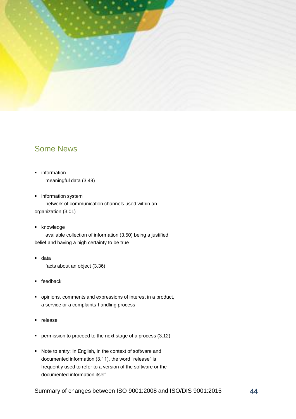

# Some News

- **·** information meaningful data (3.49)
- **·** information system network of communication channels used within an organization (3.01)
- **EXECUTE:**

available collection of information (3.50) being a justified belief and having a high certainty to be true

- data facts about an object (3.36)
- feedback
- opinions, comments and expressions of interest in a product, a service or a complaints-handling process
- **release**
- **•** permission to proceed to the next stage of a process (3.12)
- Note to entry: In English, in the context of software and documented information (3.11), the word "release" is frequently used to refer to a version of the software or the documented information itself.